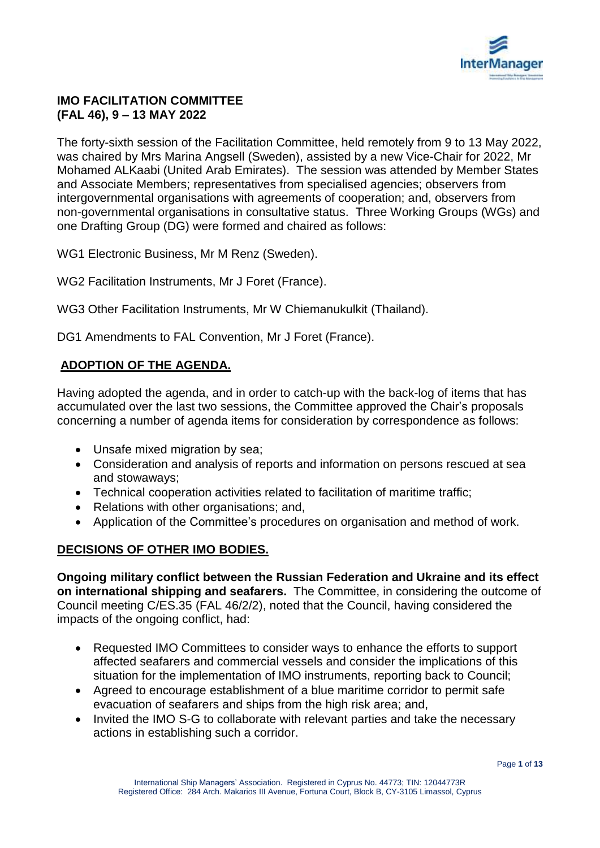

### **IMO FACILITATION COMMITTEE (FAL 46), 9 – 13 MAY 2022**

The forty-sixth session of the Facilitation Committee, held remotely from 9 to 13 May 2022, was chaired by Mrs Marina Angsell (Sweden), assisted by a new Vice-Chair for 2022, Mr Mohamed ALKaabi (United Arab Emirates). The session was attended by Member States and Associate Members; representatives from specialised agencies; observers from intergovernmental organisations with agreements of cooperation; and, observers from non-governmental organisations in consultative status. Three Working Groups (WGs) and one Drafting Group (DG) were formed and chaired as follows:

WG1 Electronic Business, Mr M Renz (Sweden).

WG2 Facilitation Instruments, Mr J Foret (France).

WG3 Other Facilitation Instruments, Mr W Chiemanukulkit (Thailand).

DG1 Amendments to FAL Convention, Mr J Foret (France).

## **ADOPTION OF THE AGENDA.**

Having adopted the agenda, and in order to catch-up with the back-log of items that has accumulated over the last two sessions, the Committee approved the Chair's proposals concerning a number of agenda items for consideration by correspondence as follows:

- Unsafe mixed migration by sea;
- Consideration and analysis of reports and information on persons rescued at sea and stowaways;
- Technical cooperation activities related to facilitation of maritime traffic;
- Relations with other organisations; and,
- Application of the Committee's procedures on organisation and method of work.

## **DECISIONS OF OTHER IMO BODIES.**

**Ongoing military conflict between the Russian Federation and Ukraine and its effect on international shipping and seafarers.** The Committee, in considering the outcome of Council meeting C/ES.35 (FAL 46/2/2), noted that the Council, having considered the impacts of the ongoing conflict, had:

- Requested IMO Committees to consider ways to enhance the efforts to support affected seafarers and commercial vessels and consider the implications of this situation for the implementation of IMO instruments, reporting back to Council;
- Agreed to encourage establishment of a blue maritime corridor to permit safe evacuation of seafarers and ships from the high risk area; and,
- Invited the IMO S-G to collaborate with relevant parties and take the necessary actions in establishing such a corridor.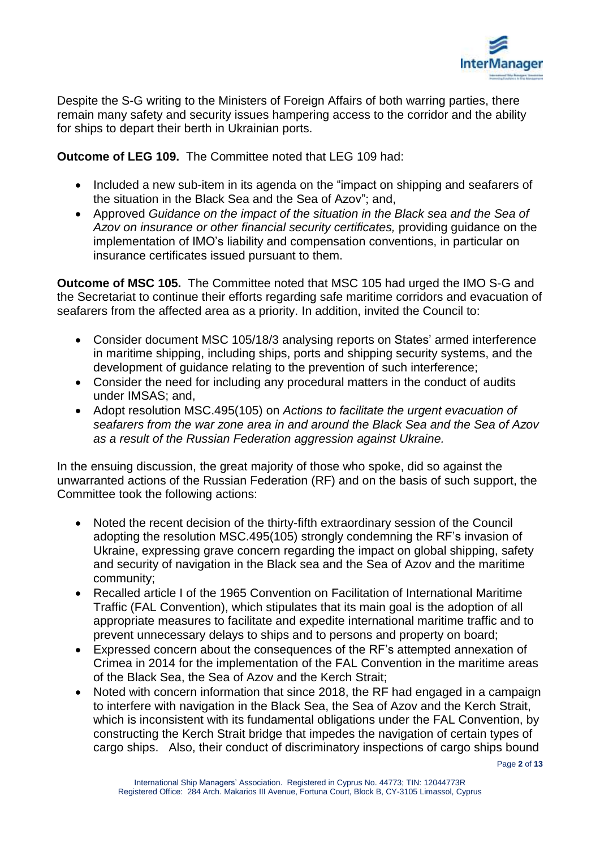

Despite the S-G writing to the Ministers of Foreign Affairs of both warring parties, there remain many safety and security issues hampering access to the corridor and the ability for ships to depart their berth in Ukrainian ports.

**Outcome of LEG 109.** The Committee noted that LEG 109 had:

- Included a new sub-item in its agenda on the "impact on shipping and seafarers of the situation in the Black Sea and the Sea of Azov"; and,
- Approved *Guidance on the impact of the situation in the Black sea and the Sea of Azov on insurance or other financial security certificates,* providing guidance on the implementation of IMO's liability and compensation conventions, in particular on insurance certificates issued pursuant to them.

**Outcome of MSC 105.** The Committee noted that MSC 105 had urged the IMO S-G and the Secretariat to continue their efforts regarding safe maritime corridors and evacuation of seafarers from the affected area as a priority. In addition, invited the Council to:

- Consider document MSC 105/18/3 analysing reports on States' armed interference in maritime shipping, including ships, ports and shipping security systems, and the development of guidance relating to the prevention of such interference;
- Consider the need for including any procedural matters in the conduct of audits under IMSAS; and,
- Adopt resolution MSC.495(105) on *Actions to facilitate the urgent evacuation of seafarers from the war zone area in and around the Black Sea and the Sea of Azov as a result of the Russian Federation aggression against Ukraine.*

In the ensuing discussion, the great majority of those who spoke, did so against the unwarranted actions of the Russian Federation (RF) and on the basis of such support, the Committee took the following actions:

- Noted the recent decision of the thirty-fifth extraordinary session of the Council adopting the resolution MSC.495(105) strongly condemning the RF's invasion of Ukraine, expressing grave concern regarding the impact on global shipping, safety and security of navigation in the Black sea and the Sea of Azov and the maritime community;
- Recalled article I of the 1965 Convention on Facilitation of International Maritime Traffic (FAL Convention), which stipulates that its main goal is the adoption of all appropriate measures to facilitate and expedite international maritime traffic and to prevent unnecessary delays to ships and to persons and property on board;
- Expressed concern about the consequences of the RF's attempted annexation of Crimea in 2014 for the implementation of the FAL Convention in the maritime areas of the Black Sea, the Sea of Azov and the Kerch Strait;
- Noted with concern information that since 2018, the RF had engaged in a campaign to interfere with navigation in the Black Sea, the Sea of Azov and the Kerch Strait, which is inconsistent with its fundamental obligations under the FAL Convention, by constructing the Kerch Strait bridge that impedes the navigation of certain types of cargo ships. Also, their conduct of discriminatory inspections of cargo ships bound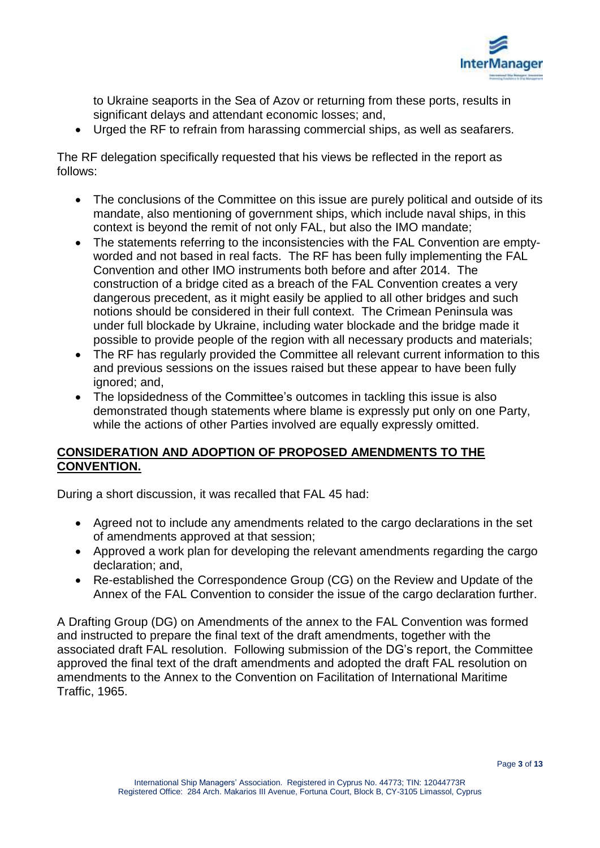

to Ukraine seaports in the Sea of Azov or returning from these ports, results in significant delays and attendant economic losses; and,

Urged the RF to refrain from harassing commercial ships, as well as seafarers.

The RF delegation specifically requested that his views be reflected in the report as follows:

- The conclusions of the Committee on this issue are purely political and outside of its mandate, also mentioning of government ships, which include naval ships, in this context is beyond the remit of not only FAL, but also the IMO mandate;
- The statements referring to the inconsistencies with the FAL Convention are emptyworded and not based in real facts. The RF has been fully implementing the FAL Convention and other IMO instruments both before and after 2014. The construction of a bridge cited as a breach of the FAL Convention creates a very dangerous precedent, as it might easily be applied to all other bridges and such notions should be considered in their full context. The Crimean Peninsula was under full blockade by Ukraine, including water blockade and the bridge made it possible to provide people of the region with all necessary products and materials;
- The RF has regularly provided the Committee all relevant current information to this and previous sessions on the issues raised but these appear to have been fully ignored; and,
- The lopsidedness of the Committee's outcomes in tackling this issue is also demonstrated though statements where blame is expressly put only on one Party, while the actions of other Parties involved are equally expressly omitted.

### **CONSIDERATION AND ADOPTION OF PROPOSED AMENDMENTS TO THE CONVENTION.**

During a short discussion, it was recalled that FAL 45 had:

- Agreed not to include any amendments related to the cargo declarations in the set of amendments approved at that session;
- Approved a work plan for developing the relevant amendments regarding the cargo declaration; and,
- Re-established the Correspondence Group (CG) on the Review and Update of the Annex of the FAL Convention to consider the issue of the cargo declaration further.

A Drafting Group (DG) on Amendments of the annex to the FAL Convention was formed and instructed to prepare the final text of the draft amendments, together with the associated draft FAL resolution. Following submission of the DG's report, the Committee approved the final text of the draft amendments and adopted the draft FAL resolution on amendments to the Annex to the Convention on Facilitation of International Maritime Traffic, 1965.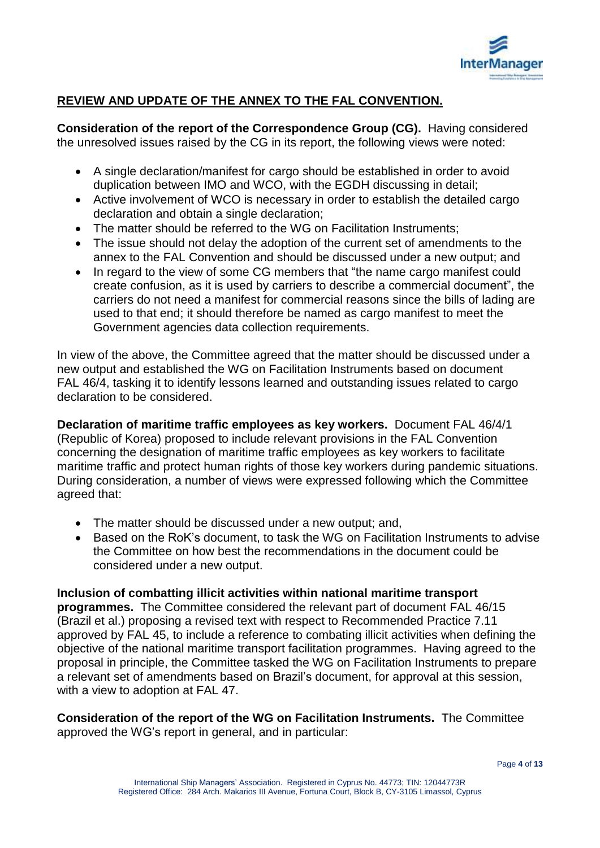

# **REVIEW AND UPDATE OF THE ANNEX TO THE FAL CONVENTION.**

**Consideration of the report of the Correspondence Group (CG).** Having considered the unresolved issues raised by the CG in its report, the following views were noted:

- A single declaration/manifest for cargo should be established in order to avoid duplication between IMO and WCO, with the EGDH discussing in detail;
- Active involvement of WCO is necessary in order to establish the detailed cargo declaration and obtain a single declaration;
- The matter should be referred to the WG on Facilitation Instruments;
- The issue should not delay the adoption of the current set of amendments to the annex to the FAL Convention and should be discussed under a new output; and
- In regard to the view of some CG members that "the name cargo manifest could create confusion, as it is used by carriers to describe a commercial document", the carriers do not need a manifest for commercial reasons since the bills of lading are used to that end; it should therefore be named as cargo manifest to meet the Government agencies data collection requirements.

In view of the above, the Committee agreed that the matter should be discussed under a new output and established the WG on Facilitation Instruments based on document FAL 46/4, tasking it to identify lessons learned and outstanding issues related to cargo declaration to be considered.

**Declaration of maritime traffic employees as key workers.** Document FAL 46/4/1 (Republic of Korea) proposed to include relevant provisions in the FAL Convention concerning the designation of maritime traffic employees as key workers to facilitate maritime traffic and protect human rights of those key workers during pandemic situations. During consideration, a number of views were expressed following which the Committee agreed that:

- The matter should be discussed under a new output; and,
- Based on the RoK's document, to task the WG on Facilitation Instruments to advise the Committee on how best the recommendations in the document could be considered under a new output.

**Inclusion of combatting illicit activities within national maritime transport programmes.** The Committee considered the relevant part of document FAL 46/15 (Brazil et al.) proposing a revised text with respect to Recommended Practice 7.11 approved by FAL 45, to include a reference to combating illicit activities when defining the objective of the national maritime transport facilitation programmes. Having agreed to the proposal in principle, the Committee tasked the WG on Facilitation Instruments to prepare a relevant set of amendments based on Brazil's document, for approval at this session, with a view to adoption at FAL 47.

**Consideration of the report of the WG on Facilitation Instruments.** The Committee approved the WG's report in general, and in particular: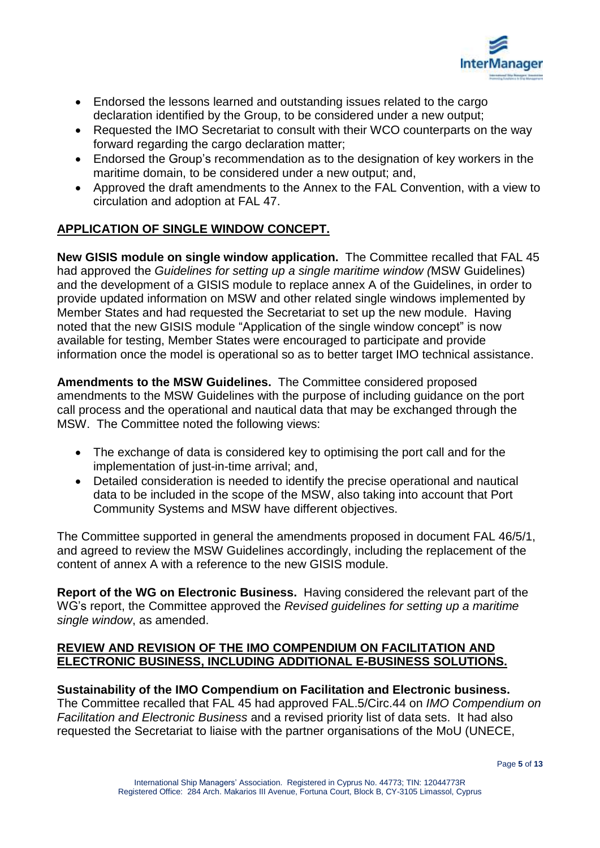

- Endorsed the lessons learned and outstanding issues related to the cargo declaration identified by the Group, to be considered under a new output;
- Requested the IMO Secretariat to consult with their WCO counterparts on the way forward regarding the cargo declaration matter;
- Endorsed the Group's recommendation as to the designation of key workers in the maritime domain, to be considered under a new output; and,
- Approved the draft amendments to the Annex to the FAL Convention, with a view to circulation and adoption at FAL 47.

# **APPLICATION OF SINGLE WINDOW CONCEPT.**

**New GISIS module on single window application.** The Committee recalled that FAL 45 had approved the *Guidelines for setting up a single maritime window (*MSW Guidelines) and the development of a GISIS module to replace annex A of the Guidelines, in order to provide updated information on MSW and other related single windows implemented by Member States and had requested the Secretariat to set up the new module. Having noted that the new GISIS module "Application of the single window concept" is now available for testing, Member States were encouraged to participate and provide information once the model is operational so as to better target IMO technical assistance.

**Amendments to the MSW Guidelines.** The Committee considered proposed amendments to the MSW Guidelines with the purpose of including guidance on the port call process and the operational and nautical data that may be exchanged through the MSW. The Committee noted the following views:

- The exchange of data is considered key to optimising the port call and for the implementation of just-in-time arrival; and,
- Detailed consideration is needed to identify the precise operational and nautical data to be included in the scope of the MSW, also taking into account that Port Community Systems and MSW have different objectives.

The Committee supported in general the amendments proposed in document FAL 46/5/1, and agreed to review the MSW Guidelines accordingly, including the replacement of the content of annex A with a reference to the new GISIS module.

**Report of the WG on Electronic Business.** Having considered the relevant part of the WG's report, the Committee approved the *Revised guidelines for setting up a maritime single window*, as amended.

### **REVIEW AND REVISION OF THE IMO COMPENDIUM ON FACILITATION AND ELECTRONIC BUSINESS, INCLUDING ADDITIONAL E-BUSINESS SOLUTIONS.**

**Sustainability of the IMO Compendium on Facilitation and Electronic business.**  The Committee recalled that FAL 45 had approved FAL.5/Circ.44 on *IMO Compendium on Facilitation and Electronic Business* and a revised priority list of data sets. It had also requested the Secretariat to liaise with the partner organisations of the MoU (UNECE,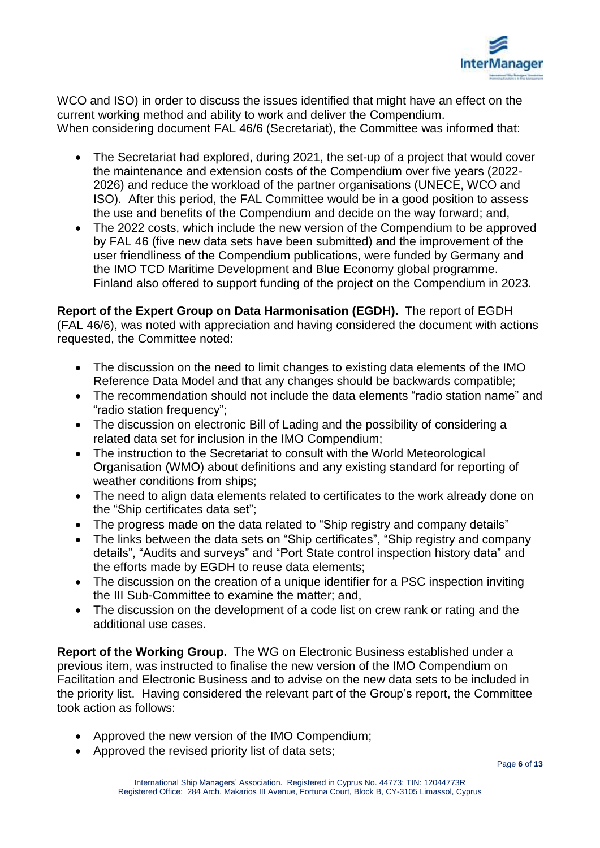

WCO and ISO) in order to discuss the issues identified that might have an effect on the current working method and ability to work and deliver the Compendium. When considering document FAL 46/6 (Secretariat), the Committee was informed that:

- The Secretariat had explored, during 2021, the set-up of a project that would cover the maintenance and extension costs of the Compendium over five years (2022- 2026) and reduce the workload of the partner organisations (UNECE, WCO and ISO). After this period, the FAL Committee would be in a good position to assess the use and benefits of the Compendium and decide on the way forward; and,
- The 2022 costs, which include the new version of the Compendium to be approved by FAL 46 (five new data sets have been submitted) and the improvement of the user friendliness of the Compendium publications, were funded by Germany and the IMO TCD Maritime Development and Blue Economy global programme. Finland also offered to support funding of the project on the Compendium in 2023.

**Report of the Expert Group on Data Harmonisation (EGDH).** The report of EGDH (FAL 46/6), was noted with appreciation and having considered the document with actions requested, the Committee noted:

- The discussion on the need to limit changes to existing data elements of the IMO Reference Data Model and that any changes should be backwards compatible;
- The recommendation should not include the data elements "radio station name" and "radio station frequency";
- The discussion on electronic Bill of Lading and the possibility of considering a related data set for inclusion in the IMO Compendium;
- The instruction to the Secretariat to consult with the World Meteorological Organisation (WMO) about definitions and any existing standard for reporting of weather conditions from ships;
- The need to align data elements related to certificates to the work already done on the "Ship certificates data set";
- The progress made on the data related to "Ship registry and company details"
- The links between the data sets on "Ship certificates", "Ship registry and company details", "Audits and surveys" and "Port State control inspection history data" and the efforts made by EGDH to reuse data elements;
- The discussion on the creation of a unique identifier for a PSC inspection inviting the III Sub-Committee to examine the matter; and,
- The discussion on the development of a code list on crew rank or rating and the additional use cases.

**Report of the Working Group.** The WG on Electronic Business established under a previous item, was instructed to finalise the new version of the IMO Compendium on Facilitation and Electronic Business and to advise on the new data sets to be included in the priority list. Having considered the relevant part of the Group's report, the Committee took action as follows:

- Approved the new version of the IMO Compendium;
- Approved the revised priority list of data sets;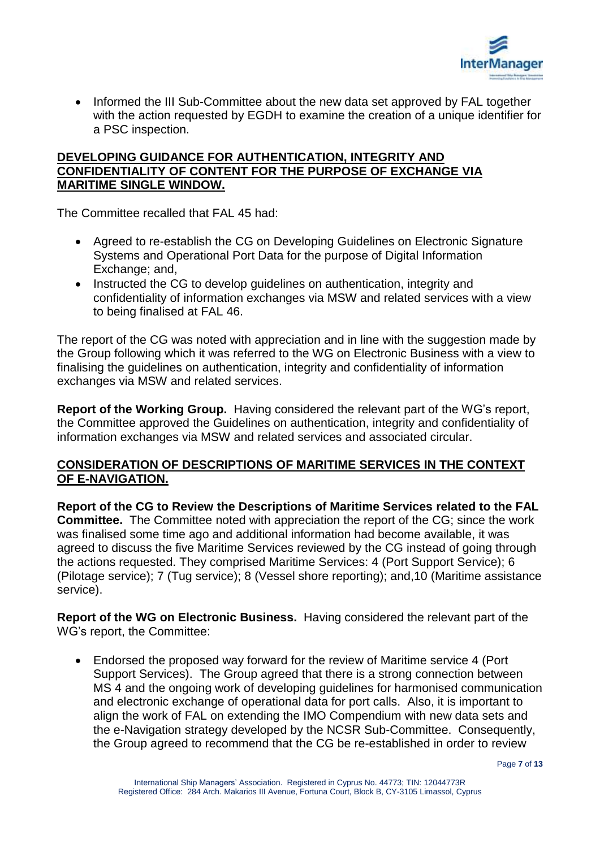

• Informed the III Sub-Committee about the new data set approved by FAL together with the action requested by EGDH to examine the creation of a unique identifier for a PSC inspection.

#### **DEVELOPING GUIDANCE FOR AUTHENTICATION, INTEGRITY AND CONFIDENTIALITY OF CONTENT FOR THE PURPOSE OF EXCHANGE VIA MARITIME SINGLE WINDOW.**

The Committee recalled that FAL 45 had:

- Agreed to re-establish the CG on Developing Guidelines on Electronic Signature Systems and Operational Port Data for the purpose of Digital Information Exchange; and,
- Instructed the CG to develop quidelines on authentication, integrity and confidentiality of information exchanges via MSW and related services with a view to being finalised at FAL 46.

The report of the CG was noted with appreciation and in line with the suggestion made by the Group following which it was referred to the WG on Electronic Business with a view to finalising the guidelines on authentication, integrity and confidentiality of information exchanges via MSW and related services.

**Report of the Working Group.** Having considered the relevant part of the WG's report, the Committee approved the Guidelines on authentication, integrity and confidentiality of information exchanges via MSW and related services and associated circular.

## **CONSIDERATION OF DESCRIPTIONS OF MARITIME SERVICES IN THE CONTEXT OF E-NAVIGATION.**

**Report of the CG to Review the Descriptions of Maritime Services related to the FAL Committee.** The Committee noted with appreciation the report of the CG; since the work was finalised some time ago and additional information had become available, it was agreed to discuss the five Maritime Services reviewed by the CG instead of going through the actions requested. They comprised Maritime Services: 4 (Port Support Service); 6 (Pilotage service); 7 (Tug service); 8 (Vessel shore reporting); and,10 (Maritime assistance service).

**Report of the WG on Electronic Business.** Having considered the relevant part of the WG's report, the Committee:

 Endorsed the proposed way forward for the review of Maritime service 4 (Port Support Services). The Group agreed that there is a strong connection between MS 4 and the ongoing work of developing guidelines for harmonised communication and electronic exchange of operational data for port calls. Also, it is important to align the work of FAL on extending the IMO Compendium with new data sets and the e-Navigation strategy developed by the NCSR Sub-Committee. Consequently, the Group agreed to recommend that the CG be re-established in order to review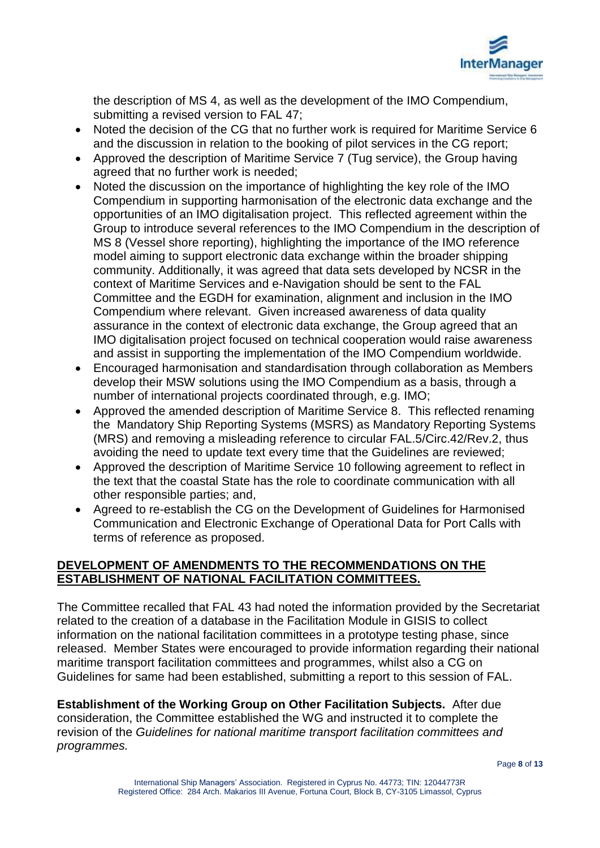

the description of MS 4, as well as the development of the IMO Compendium, submitting a revised version to FAL 47;

- Noted the decision of the CG that no further work is required for Maritime Service 6 and the discussion in relation to the booking of pilot services in the CG report;
- Approved the description of Maritime Service 7 (Tug service), the Group having agreed that no further work is needed;
- Noted the discussion on the importance of highlighting the key role of the IMO Compendium in supporting harmonisation of the electronic data exchange and the opportunities of an IMO digitalisation project. This reflected agreement within the Group to introduce several references to the IMO Compendium in the description of MS 8 (Vessel shore reporting), highlighting the importance of the IMO reference model aiming to support electronic data exchange within the broader shipping community. Additionally, it was agreed that data sets developed by NCSR in the context of Maritime Services and e-Navigation should be sent to the FAL Committee and the EGDH for examination, alignment and inclusion in the IMO Compendium where relevant. Given increased awareness of data quality assurance in the context of electronic data exchange, the Group agreed that an IMO digitalisation project focused on technical cooperation would raise awareness and assist in supporting the implementation of the IMO Compendium worldwide.
- Encouraged harmonisation and standardisation through collaboration as Members develop their MSW solutions using the IMO Compendium as a basis, through a number of international projects coordinated through, e.g. IMO;
- Approved the amended description of Maritime Service 8. This reflected renaming the Mandatory Ship Reporting Systems (MSRS) as Mandatory Reporting Systems (MRS) and removing a misleading reference to circular FAL.5/Circ.42/Rev.2, thus avoiding the need to update text every time that the Guidelines are reviewed;
- Approved the description of Maritime Service 10 following agreement to reflect in the text that the coastal State has the role to coordinate communication with all other responsible parties; and,
- Agreed to re-establish the CG on the Development of Guidelines for Harmonised Communication and Electronic Exchange of Operational Data for Port Calls with terms of reference as proposed.

## **DEVELOPMENT OF AMENDMENTS TO THE RECOMMENDATIONS ON THE ESTABLISHMENT OF NATIONAL FACILITATION COMMITTEES.**

The Committee recalled that FAL 43 had noted the information provided by the Secretariat related to the creation of a database in the Facilitation Module in GISIS to collect information on the national facilitation committees in a prototype testing phase, since released. Member States were encouraged to provide information regarding their national maritime transport facilitation committees and programmes, whilst also a CG on Guidelines for same had been established, submitting a report to this session of FAL.

**Establishment of the Working Group on Other Facilitation Subjects.** After due consideration, the Committee established the WG and instructed it to complete the revision of the *Guidelines for national maritime transport facilitation committees and programmes.*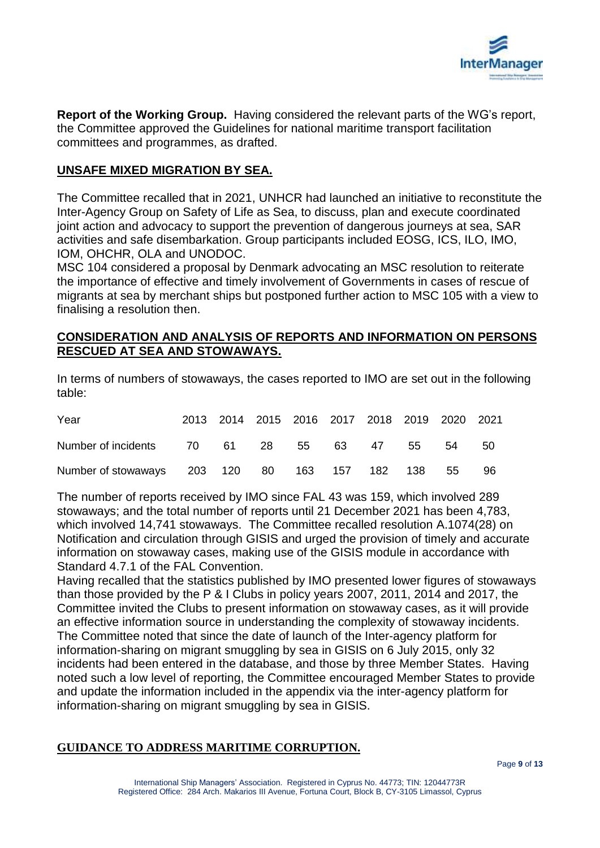

**Report of the Working Group.** Having considered the relevant parts of the WG's report, the Committee approved the Guidelines for national maritime transport facilitation committees and programmes, as drafted.

### **UNSAFE MIXED MIGRATION BY SEA.**

The Committee recalled that in 2021, UNHCR had launched an initiative to reconstitute the Inter-Agency Group on Safety of Life as Sea, to discuss, plan and execute coordinated joint action and advocacy to support the prevention of dangerous journeys at sea, SAR activities and safe disembarkation. Group participants included EOSG, ICS, ILO, IMO, IOM, OHCHR, OLA and UNODOC.

MSC 104 considered a proposal by Denmark advocating an MSC resolution to reiterate the importance of effective and timely involvement of Governments in cases of rescue of migrants at sea by merchant ships but postponed further action to MSC 105 with a view to finalising a resolution then.

#### **CONSIDERATION AND ANALYSIS OF REPORTS AND INFORMATION ON PERSONS RESCUED AT SEA AND STOWAWAYS.**

In terms of numbers of stowaways, the cases reported to IMO are set out in the following table:

| Year                                           |  |  | 2013 2014 2015 2016 2017 2018 2019 2020 2021 |  |     |      |
|------------------------------------------------|--|--|----------------------------------------------|--|-----|------|
| Number of incidents 70 61 28 55 63 47 55 54    |  |  |                                              |  |     | - 50 |
| Number of stowaways 203 120 80 163 157 182 138 |  |  |                                              |  | -55 | 96   |

The number of reports received by IMO since FAL 43 was 159, which involved 289 stowaways; and the total number of reports until 21 December 2021 has been 4,783, which involved 14,741 stowaways. The Committee recalled resolution A.1074(28) on Notification and circulation through GISIS and urged the provision of timely and accurate information on stowaway cases, making use of the GISIS module in accordance with Standard 4.7.1 of the FAL Convention.

Having recalled that the statistics published by IMO presented lower figures of stowaways than those provided by the P & I Clubs in policy years 2007, 2011, 2014 and 2017, the Committee invited the Clubs to present information on stowaway cases, as it will provide an effective information source in understanding the complexity of stowaway incidents. The Committee noted that since the date of launch of the Inter-agency platform for information-sharing on migrant smuggling by sea in GISIS on 6 July 2015, only 32 incidents had been entered in the database, and those by three Member States. Having noted such a low level of reporting, the Committee encouraged Member States to provide and update the information included in the appendix via the inter-agency platform for information-sharing on migrant smuggling by sea in GISIS.

#### **GUIDANCE TO ADDRESS MARITIME CORRUPTION.**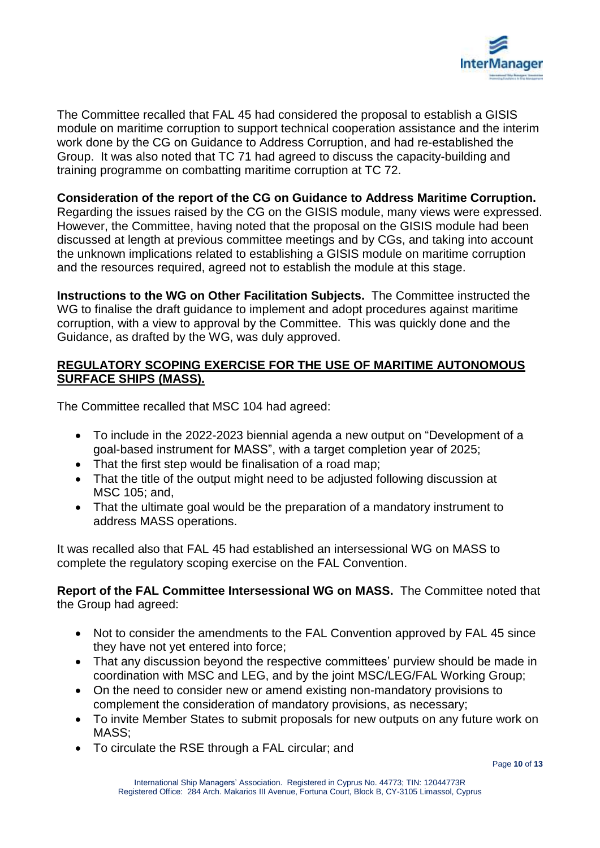

The Committee recalled that FAL 45 had considered the proposal to establish a GISIS module on maritime corruption to support technical cooperation assistance and the interim work done by the CG on Guidance to Address Corruption, and had re-established the Group. It was also noted that TC 71 had agreed to discuss the capacity-building and training programme on combatting maritime corruption at TC 72.

#### **Consideration of the report of the CG on Guidance to Address Maritime Corruption.**

Regarding the issues raised by the CG on the GISIS module, many views were expressed. However, the Committee, having noted that the proposal on the GISIS module had been discussed at length at previous committee meetings and by CGs, and taking into account the unknown implications related to establishing a GISIS module on maritime corruption and the resources required, agreed not to establish the module at this stage.

**Instructions to the WG on Other Facilitation Subjects.** The Committee instructed the WG to finalise the draft guidance to implement and adopt procedures against maritime corruption, with a view to approval by the Committee. This was quickly done and the Guidance, as drafted by the WG, was duly approved.

### **REGULATORY SCOPING EXERCISE FOR THE USE OF MARITIME AUTONOMOUS SURFACE SHIPS (MASS).**

The Committee recalled that MSC 104 had agreed:

- To include in the 2022-2023 biennial agenda a new output on "Development of a goal-based instrument for MASS", with a target completion year of 2025;
- That the first step would be finalisation of a road map;
- That the title of the output might need to be adjusted following discussion at MSC 105; and,
- That the ultimate goal would be the preparation of a mandatory instrument to address MASS operations.

It was recalled also that FAL 45 had established an intersessional WG on MASS to complete the regulatory scoping exercise on the FAL Convention.

**Report of the FAL Committee Intersessional WG on MASS.** The Committee noted that the Group had agreed:

- Not to consider the amendments to the FAL Convention approved by FAL 45 since they have not yet entered into force;
- That any discussion beyond the respective committees' purview should be made in coordination with MSC and LEG, and by the joint MSC/LEG/FAL Working Group;
- On the need to consider new or amend existing non-mandatory provisions to complement the consideration of mandatory provisions, as necessary;
- To invite Member States to submit proposals for new outputs on any future work on MASS;
- To circulate the RSE through a FAL circular; and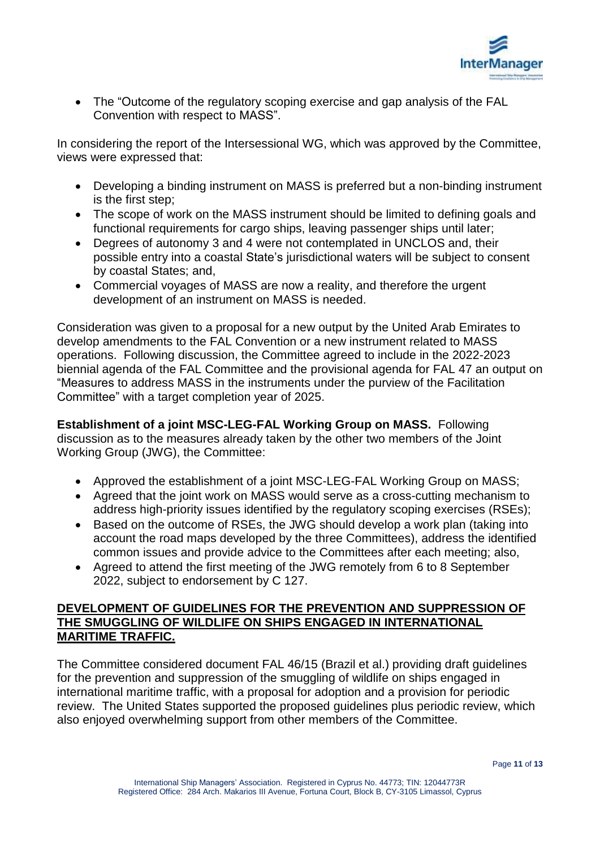

 The "Outcome of the regulatory scoping exercise and gap analysis of the FAL Convention with respect to MASS".

In considering the report of the Intersessional WG, which was approved by the Committee, views were expressed that:

- Developing a binding instrument on MASS is preferred but a non-binding instrument is the first step;
- The scope of work on the MASS instrument should be limited to defining goals and functional requirements for cargo ships, leaving passenger ships until later;
- Degrees of autonomy 3 and 4 were not contemplated in UNCLOS and, their possible entry into a coastal State's jurisdictional waters will be subject to consent by coastal States; and,
- Commercial voyages of MASS are now a reality, and therefore the urgent development of an instrument on MASS is needed.

Consideration was given to a proposal for a new output by the United Arab Emirates to develop amendments to the FAL Convention or a new instrument related to MASS operations. Following discussion, the Committee agreed to include in the 2022-2023 biennial agenda of the FAL Committee and the provisional agenda for FAL 47 an output on "Measures to address MASS in the instruments under the purview of the Facilitation Committee" with a target completion year of 2025.

**Establishment of a joint MSC-LEG-FAL Working Group on MASS.** Following discussion as to the measures already taken by the other two members of the Joint Working Group (JWG), the Committee:

- Approved the establishment of a joint MSC-LEG-FAL Working Group on MASS;
- Agreed that the joint work on MASS would serve as a cross-cutting mechanism to address high-priority issues identified by the regulatory scoping exercises (RSEs);
- Based on the outcome of RSEs, the JWG should develop a work plan (taking into account the road maps developed by the three Committees), address the identified common issues and provide advice to the Committees after each meeting; also,
- Agreed to attend the first meeting of the JWG remotely from 6 to 8 September 2022, subject to endorsement by C 127.

## **DEVELOPMENT OF GUIDELINES FOR THE PREVENTION AND SUPPRESSION OF THE SMUGGLING OF WILDLIFE ON SHIPS ENGAGED IN INTERNATIONAL MARITIME TRAFFIC.**

The Committee considered document FAL 46/15 (Brazil et al.) providing draft guidelines for the prevention and suppression of the smuggling of wildlife on ships engaged in international maritime traffic, with a proposal for adoption and a provision for periodic review. The United States supported the proposed guidelines plus periodic review, which also enjoyed overwhelming support from other members of the Committee.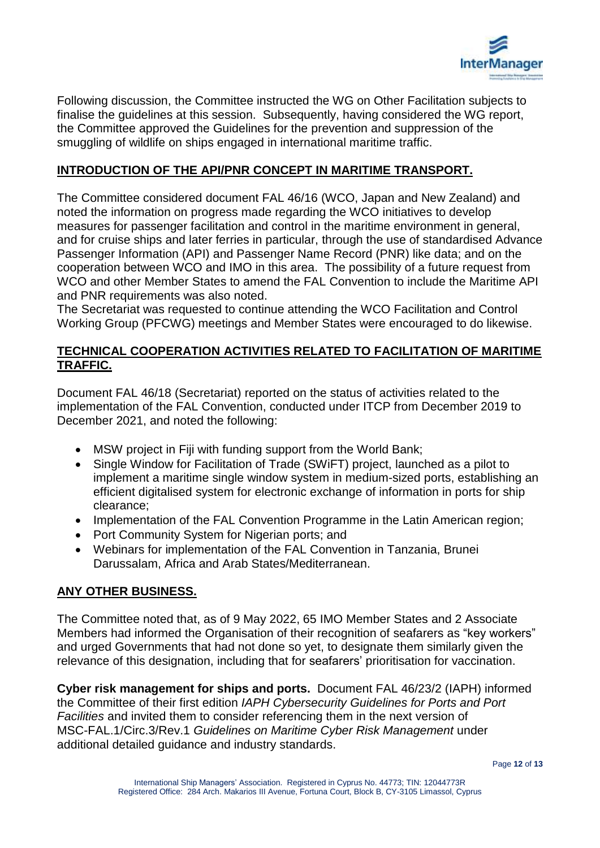

Following discussion, the Committee instructed the WG on Other Facilitation subjects to finalise the guidelines at this session. Subsequently, having considered the WG report, the Committee approved the Guidelines for the prevention and suppression of the smuggling of wildlife on ships engaged in international maritime traffic.

# **INTRODUCTION OF THE API/PNR CONCEPT IN MARITIME TRANSPORT.**

The Committee considered document FAL 46/16 (WCO, Japan and New Zealand) and noted the information on progress made regarding the WCO initiatives to develop measures for passenger facilitation and control in the maritime environment in general, and for cruise ships and later ferries in particular, through the use of standardised Advance Passenger Information (API) and Passenger Name Record (PNR) like data; and on the cooperation between WCO and IMO in this area. The possibility of a future request from WCO and other Member States to amend the FAL Convention to include the Maritime API and PNR requirements was also noted.

The Secretariat was requested to continue attending the WCO Facilitation and Control Working Group (PFCWG) meetings and Member States were encouraged to do likewise.

### **TECHNICAL COOPERATION ACTIVITIES RELATED TO FACILITATION OF MARITIME TRAFFIC.**

Document FAL 46/18 (Secretariat) reported on the status of activities related to the implementation of the FAL Convention, conducted under ITCP from December 2019 to December 2021, and noted the following:

- MSW project in Fiji with funding support from the World Bank;
- Single Window for Facilitation of Trade (SWiFT) project, launched as a pilot to implement a maritime single window system in medium-sized ports, establishing an efficient digitalised system for electronic exchange of information in ports for ship clearance;
- Implementation of the FAL Convention Programme in the Latin American region;
- Port Community System for Nigerian ports; and
- Webinars for implementation of the FAL Convention in Tanzania, Brunei Darussalam, Africa and Arab States/Mediterranean.

## **ANY OTHER BUSINESS.**

The Committee noted that, as of 9 May 2022, 65 IMO Member States and 2 Associate Members had informed the Organisation of their recognition of seafarers as "key workers" and urged Governments that had not done so yet, to designate them similarly given the relevance of this designation, including that for seafarers' prioritisation for vaccination.

**Cyber risk management for ships and ports.** Document FAL 46/23/2 (IAPH) informed the Committee of their first edition *IAPH Cybersecurity Guidelines for Ports and Port Facilities* and invited them to consider referencing them in the next version of MSC-FAL.1/Circ.3/Rev.1 *Guidelines on Maritime Cyber Risk Management* under additional detailed guidance and industry standards.